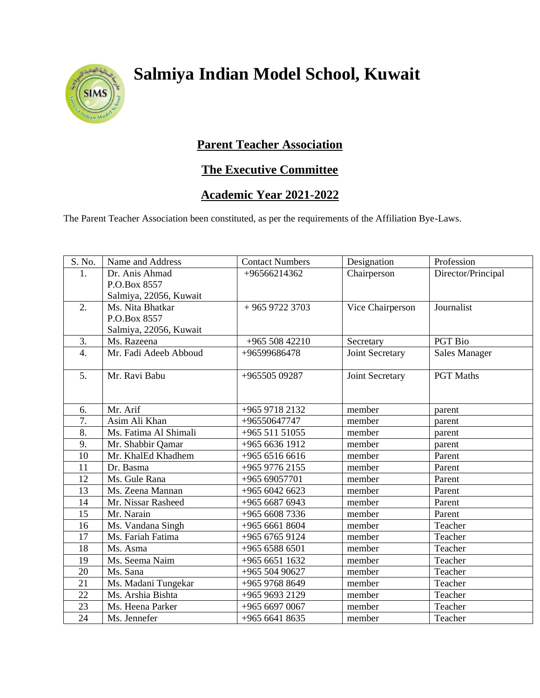

## **Salmiya Indian Model School, Kuwait**

## **Parent Teacher Association**

## **The Executive Committee**

## **Academic Year 2021-2022**

The Parent Teacher Association been constituted, as per the requirements of the Affiliation Bye-Laws.

| S. No.           | Name and Address       | <b>Contact Numbers</b> | Designation      | Profession           |
|------------------|------------------------|------------------------|------------------|----------------------|
| 1.               | Dr. Anis Ahmad         | +96566214362           | Chairperson      | Director/Principal   |
|                  | P.O.Box 8557           |                        |                  |                      |
|                  | Salmiya, 22056, Kuwait |                        |                  |                      |
| 2.               | Ms. Nita Bhatkar       | $+96597223703$         | Vice Chairperson | Journalist           |
|                  | P.O.Box 8557           |                        |                  |                      |
|                  | Salmiya, 22056, Kuwait |                        |                  |                      |
| 3.               | Ms. Razeena            | $+96550842210$         | Secretary        | PGT Bio              |
| $\overline{4}$ . | Mr. Fadi Adeeb Abboud  | +96599686478           | Joint Secretary  | <b>Sales Manager</b> |
| 5.               | Mr. Ravi Babu          | +965505 09287          | Joint Secretary  | <b>PGT</b> Maths     |
|                  |                        |                        |                  |                      |
| 6.               | Mr. Arif               | +965 9718 2132         | member           | parent               |
| 7.               | Asim Ali Khan          | +96550647747           | member           | parent               |
| 8.               | Ms. Fatima Al Shimali  | +965 511 51055         | member           | parent               |
| 9.               | Mr. Shabbir Qamar      | +965 6636 1912         | member           | parent               |
| 10               | Mr. KhalEd Khadhem     | +965 6516 6616         | member           | Parent               |
| 11               | Dr. Basma              | +965 9776 2155         | member           | Parent               |
| 12               | Ms. Gule Rana          | +965 69057701          | member           | Parent               |
| 13               | Ms. Zeena Mannan       | $+96560426623$         | member           | Parent               |
| 14               | Mr. Nissar Rasheed     | +965 6687 6943         | member           | Parent               |
| 15               | Mr. Narain             | $+9656087336$          | member           | Parent               |
| 16               | Ms. Vandana Singh      | +965 6661 8604         | member           | Teacher              |
| 17               | Ms. Fariah Fatima      | +965 6765 9124         | member           | Teacher              |
| 18               | Ms. Asma               | +965 6588 6501         | member           | Teacher              |
| 19               | Ms. Seema Naim         | +965 6651 1632         | member           | Teacher              |
| 20               | Ms. Sana               | +965 504 90627         | member           | Teacher              |
| 21               | Ms. Madani Tungekar    | +965 9768 8649         | member           | Teacher              |
| 22               | Ms. Arshia Bishta      | +965 9693 2129         | member           | Teacher              |
| 23               | Ms. Heena Parker       | +965 6697 0067         | member           | Teacher              |
| 24               | Ms. Jennefer           | $+96566418635$         | member           | Teacher              |